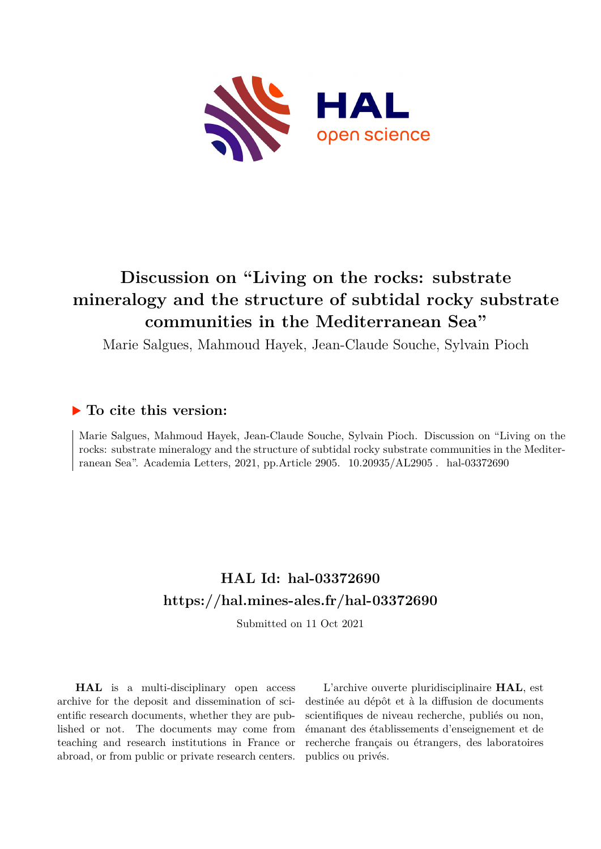

# **Discussion on "Living on the rocks: substrate mineralogy and the structure of subtidal rocky substrate communities in the Mediterranean Sea"**

Marie Salgues, Mahmoud Hayek, Jean-Claude Souche, Sylvain Pioch

#### **To cite this version:**

Marie Salgues, Mahmoud Hayek, Jean-Claude Souche, Sylvain Pioch. Discussion on "Living on the rocks: substrate mineralogy and the structure of subtidal rocky substrate communities in the Mediterranean Sea". Academia Letters, 2021, pp.Article 2905.  $10.20935/AL2905$ . hal-03372690

## **HAL Id: hal-03372690 <https://hal.mines-ales.fr/hal-03372690>**

Submitted on 11 Oct 2021

**HAL** is a multi-disciplinary open access archive for the deposit and dissemination of scientific research documents, whether they are published or not. The documents may come from teaching and research institutions in France or abroad, or from public or private research centers.

L'archive ouverte pluridisciplinaire **HAL**, est destinée au dépôt et à la diffusion de documents scientifiques de niveau recherche, publiés ou non, émanant des établissements d'enseignement et de recherche français ou étrangers, des laboratoires publics ou privés.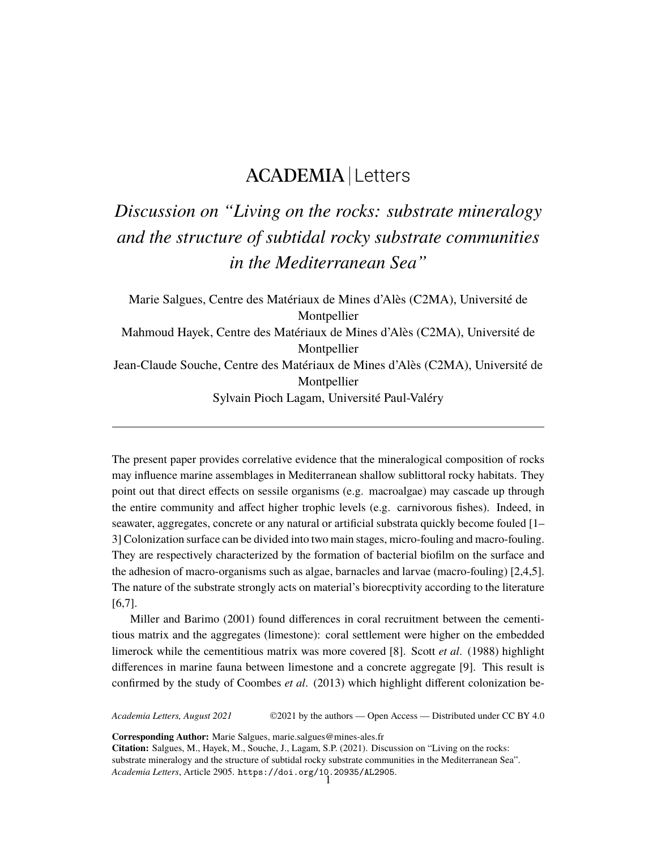### ACADEMIA Letters

# *Discussion on "Living on the rocks: substrate mineralogy and the structure of subtidal rocky substrate communities in the Mediterranean Sea"*

Marie Salgues, Centre des Matériaux de Mines d'Alès (C2MA), Université de Montpellier Mahmoud Hayek, Centre des Matériaux de Mines d'Alès (C2MA), Université de Montpellier Jean-Claude Souche, Centre des Matériaux de Mines d'Alès (C2MA), Université de Montpellier Sylvain Pioch Lagam, Université Paul-Valéry

The present paper provides correlative evidence that the mineralogical composition of rocks may influence marine assemblages in Mediterranean shallow sublittoral rocky habitats. They point out that direct effects on sessile organisms (e.g. macroalgae) may cascade up through the entire community and affect higher trophic levels (e.g. carnivorous fishes). Indeed, in seawater, aggregates, concrete or any natural or artificial substrata quickly become fouled [1– 3] Colonization surface can be divided into two main stages, micro-fouling and macro-fouling. They are respectively characterized by the formation of bacterial biofilm on the surface and the adhesion of macro-organisms such as algae, barnacles and larvae (macro-fouling) [2,4,5]. The nature of the substrate strongly acts on material's biorecptivity according to the literature [6,7].

Miller and Barimo (2001) found differences in coral recruitment between the cementitious matrix and the aggregates (limestone): coral settlement were higher on the embedded limerock while the cementitious matrix was more covered [8]. Scott *et al*. (1988) highlight differences in marine fauna between limestone and a concrete aggregate [9]. This result is confirmed by the study of Coombes *et al*. (2013) which highlight different colonization be-

*Academia Letters, August 2021* ©2021 by the authors — Open Access — Distributed under CC BY 4.0

**Corresponding Author:** Marie Salgues, marie.salgues@mines-ales.fr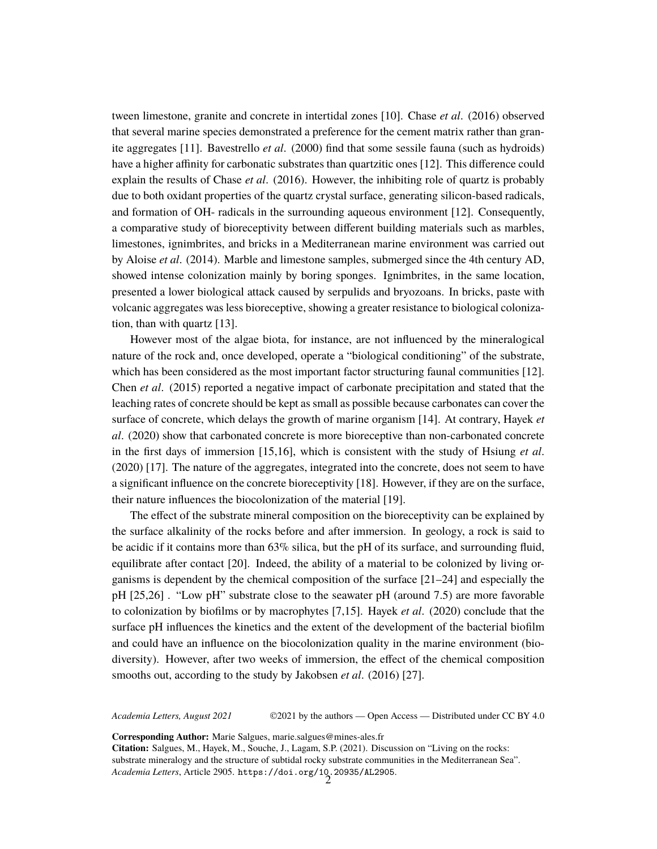tween limestone, granite and concrete in intertidal zones [10]. Chase *et al*. (2016) observed that several marine species demonstrated a preference for the cement matrix rather than granite aggregates [11]. Bavestrello *et al*. (2000) find that some sessile fauna (such as hydroids) have a higher affinity for carbonatic substrates than quartzitic ones [12]. This difference could explain the results of Chase *et al*. (2016). However, the inhibiting role of quartz is probably due to both oxidant properties of the quartz crystal surface, generating silicon-based radicals, and formation of OH- radicals in the surrounding aqueous environment [12]. Consequently, a comparative study of bioreceptivity between different building materials such as marbles, limestones, ignimbrites, and bricks in a Mediterranean marine environment was carried out by Aloise *et al*. (2014). Marble and limestone samples, submerged since the 4th century AD, showed intense colonization mainly by boring sponges. Ignimbrites, in the same location, presented a lower biological attack caused by serpulids and bryozoans. In bricks, paste with volcanic aggregates was less bioreceptive, showing a greater resistance to biological colonization, than with quartz [13].

However most of the algae biota, for instance, are not influenced by the mineralogical nature of the rock and, once developed, operate a "biological conditioning" of the substrate, which has been considered as the most important factor structuring faunal communities [12]. Chen *et al*. (2015) reported a negative impact of carbonate precipitation and stated that the leaching rates of concrete should be kept as small as possible because carbonates can cover the surface of concrete, which delays the growth of marine organism [14]. At contrary, Hayek *et al*. (2020) show that carbonated concrete is more bioreceptive than non-carbonated concrete in the first days of immersion [15,16], which is consistent with the study of Hsiung *et al*. (2020) [17]. The nature of the aggregates, integrated into the concrete, does not seem to have a significant influence on the concrete bioreceptivity [18]. However, if they are on the surface, their nature influences the biocolonization of the material [19].

The effect of the substrate mineral composition on the bioreceptivity can be explained by the surface alkalinity of the rocks before and after immersion. In geology, a rock is said to be acidic if it contains more than 63% silica, but the pH of its surface, and surrounding fluid, equilibrate after contact [20]. Indeed, the ability of a material to be colonized by living organisms is dependent by the chemical composition of the surface [21–24] and especially the pH [25,26] . "Low pH" substrate close to the seawater pH (around 7.5) are more favorable to colonization by biofilms or by macrophytes [7,15]. Hayek *et al*. (2020) conclude that the surface pH influences the kinetics and the extent of the development of the bacterial biofilm and could have an influence on the biocolonization quality in the marine environment (biodiversity). However, after two weeks of immersion, the effect of the chemical composition smooths out, according to the study by Jakobsen *et al*. (2016) [27].

*Academia Letters, August 2021* ©2021 by the authors — Open Access — Distributed under CC BY 4.0

**Corresponding Author:** Marie Salgues, marie.salgues@mines-ales.fr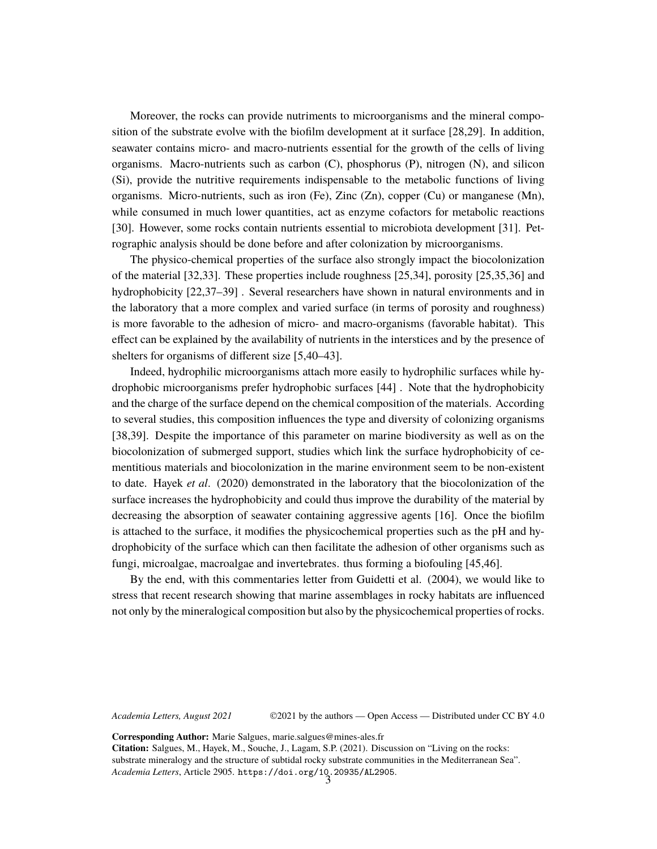Moreover, the rocks can provide nutriments to microorganisms and the mineral composition of the substrate evolve with the biofilm development at it surface [28,29]. In addition, seawater contains micro- and macro-nutrients essential for the growth of the cells of living organisms. Macro-nutrients such as carbon (C), phosphorus (P), nitrogen (N), and silicon (Si), provide the nutritive requirements indispensable to the metabolic functions of living organisms. Micro-nutrients, such as iron (Fe), Zinc  $(Zn)$ , copper  $(Cu)$  or manganese  $(Mn)$ , while consumed in much lower quantities, act as enzyme cofactors for metabolic reactions [30]. However, some rocks contain nutrients essential to microbiota development [31]. Petrographic analysis should be done before and after colonization by microorganisms.

The physico-chemical properties of the surface also strongly impact the biocolonization of the material [32,33]. These properties include roughness [25,34], porosity [25,35,36] and hydrophobicity [22,37–39] . Several researchers have shown in natural environments and in the laboratory that a more complex and varied surface (in terms of porosity and roughness) is more favorable to the adhesion of micro- and macro-organisms (favorable habitat). This effect can be explained by the availability of nutrients in the interstices and by the presence of shelters for organisms of different size [5,40–43].

Indeed, hydrophilic microorganisms attach more easily to hydrophilic surfaces while hydrophobic microorganisms prefer hydrophobic surfaces [44] . Note that the hydrophobicity and the charge of the surface depend on the chemical composition of the materials. According to several studies, this composition influences the type and diversity of colonizing organisms [38,39]. Despite the importance of this parameter on marine biodiversity as well as on the biocolonization of submerged support, studies which link the surface hydrophobicity of cementitious materials and biocolonization in the marine environment seem to be non-existent to date. Hayek *et al*. (2020) demonstrated in the laboratory that the biocolonization of the surface increases the hydrophobicity and could thus improve the durability of the material by decreasing the absorption of seawater containing aggressive agents [16]. Once the biofilm is attached to the surface, it modifies the physicochemical properties such as the pH and hydrophobicity of the surface which can then facilitate the adhesion of other organisms such as fungi, microalgae, macroalgae and invertebrates. thus forming a biofouling [45,46].

By the end, with this commentaries letter from Guidetti et al. (2004), we would like to stress that recent research showing that marine assemblages in rocky habitats are influenced not only by the mineralogical composition but also by the physicochemical properties of rocks.

*Academia Letters, August 2021* ©2021 by the authors — Open Access — Distributed under CC BY 4.0

**Corresponding Author:** Marie Salgues, marie.salgues@mines-ales.fr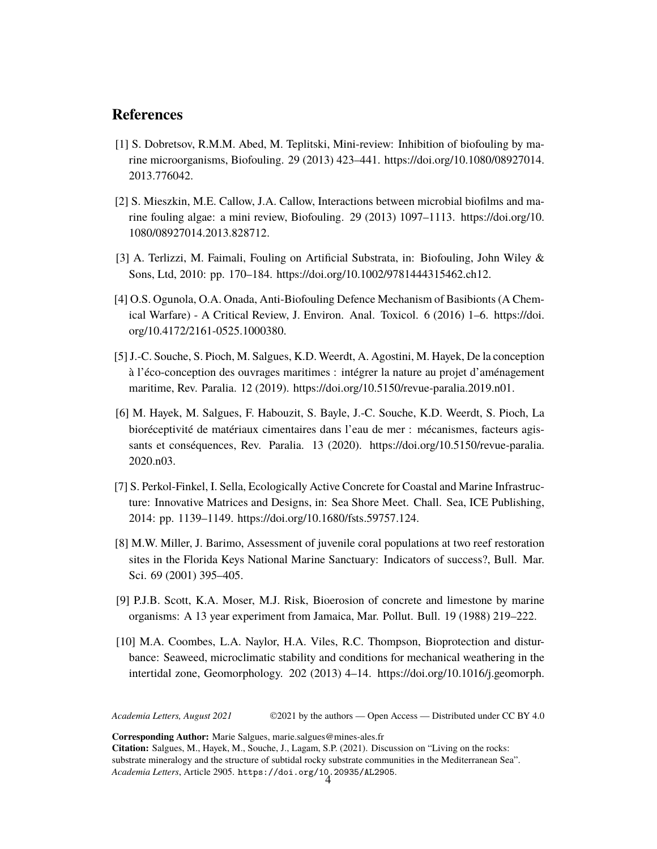#### **References**

- [1] S. Dobretsov, R.M.M. Abed, M. Teplitski, Mini-review: Inhibition of biofouling by marine microorganisms, Biofouling. 29 (2013) 423–441. [https://doi.org/10.1080/08927014.](https://doi.org/10.1080/08927014.2013.776042.) [2013.776042.](https://doi.org/10.1080/08927014.2013.776042.)
- [2] S. Mieszkin, M.E. Callow, J.A. Callow, Interactions between microbial biofilms and marine fouling algae: a mini review, Biofouling. 29 (2013) 1097–1113. [https://doi.org/10.](https://doi.org/10.1080/08927014.2013.828712.) [1080/08927014.2013.828712.](https://doi.org/10.1080/08927014.2013.828712.)
- [3] A. Terlizzi, M. Faimali, Fouling on Artificial Substrata, in: Biofouling, John Wiley & Sons, Ltd, 2010: pp. 170–184. <https://doi.org/10.1002/9781444315462.ch12.>
- [4] O.S. Ogunola, O.A. Onada, Anti-Biofouling Defence Mechanism of Basibionts (A Chemical Warfare) - A Critical Review, J. Environ. Anal. Toxicol. 6 (2016) 1–6. [https://doi.](https://doi.org/10.4172/2161-0525.1000380.) [org/10.4172/2161-0525.1000380.](https://doi.org/10.4172/2161-0525.1000380.)
- [5] J.-C. Souche, S. Pioch, M. Salgues, K.D. Weerdt, A. Agostini, M. Hayek, De la conception à l'éco-conception des ouvrages maritimes : intégrer la nature au projet d'aménagement maritime, Rev. Paralia. 12 (2019). <https://doi.org/10.5150/revue-paralia.2019.n01.>
- [6] M. Hayek, M. Salgues, F. Habouzit, S. Bayle, J.-C. Souche, K.D. Weerdt, S. Pioch, La bioréceptivité de matériaux cimentaires dans l'eau de mer : mécanismes, facteurs agissants et conséquences, Rev. Paralia. 13 (2020). [https://doi.org/10.5150/revue-paralia.](https://doi.org/10.5150/revue-paralia.2020.n03.) [2020.n03.](https://doi.org/10.5150/revue-paralia.2020.n03.)
- [7] S. Perkol-Finkel, I. Sella, Ecologically Active Concrete for Coastal and Marine Infrastructure: Innovative Matrices and Designs, in: Sea Shore Meet. Chall. Sea, ICE Publishing, 2014: pp. 1139–1149. <https://doi.org/10.1680/fsts.59757.124.>
- [8] M.W. Miller, J. Barimo, Assessment of juvenile coral populations at two reef restoration sites in the Florida Keys National Marine Sanctuary: Indicators of success?, Bull. Mar. Sci. 69 (2001) 395–405.
- [9] P.J.B. Scott, K.A. Moser, M.J. Risk, Bioerosion of concrete and limestone by marine organisms: A 13 year experiment from Jamaica, Mar. Pollut. Bull. 19 (1988) 219–222.
- [10] M.A. Coombes, L.A. Naylor, H.A. Viles, R.C. Thompson, Bioprotection and disturbance: Seaweed, microclimatic stability and conditions for mechanical weathering in the intertidal zone, Geomorphology. 202 (2013) 4–14. [https://doi.org/10.1016/j.geomorph.](https://doi.org/10.1016/j.geomorph.2012.09.014.)

*Academia Letters, August 2021* ©2021 by the authors — Open Access — Distributed under CC BY 4.0

**Corresponding Author:** Marie Salgues, marie.salgues@mines-ales.fr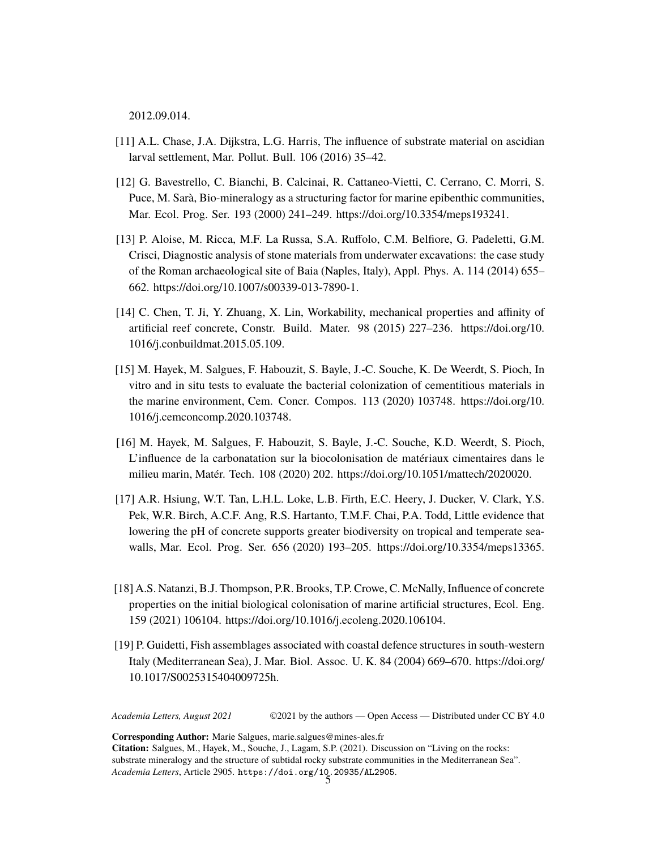2012.09.014.

- [11] A.L. Chase, J.A. Dijkstra, L.G. Harris, The influence of substrate material on ascidian larval settlement, Mar. Pollut. Bull. 106 (2016) 35–42.
- [12] G. Bavestrello, C. Bianchi, B. Calcinai, R. Cattaneo-Vietti, C. Cerrano, C. Morri, S. Puce, M. Sarà, Bio-mineralogy as a structuring factor for marine epibenthic communities, Mar. Ecol. Prog. Ser. 193 (2000) 241–249. <https://doi.org/10.3354/meps193241.>
- [13] P. Aloise, M. Ricca, M.F. La Russa, S.A. Ruffolo, C.M. Belfiore, G. Padeletti, G.M. Crisci, Diagnostic analysis of stone materials from underwater excavations: the case study of the Roman archaeological site of Baia (Naples, Italy), Appl. Phys. A. 114 (2014) 655– 662. <https://doi.org/10.1007/s00339-013-7890-1.>
- [14] C. Chen, T. Ji, Y. Zhuang, X. Lin, Workability, mechanical properties and affinity of artificial reef concrete, Constr. Build. Mater. 98 (2015) 227–236. [https://doi.org/10.](https://doi.org/10.1016/j.conbuildmat.2015.05.109.) [1016/j.conbuildmat.2015.05.109.](https://doi.org/10.1016/j.conbuildmat.2015.05.109.)
- [15] M. Hayek, M. Salgues, F. Habouzit, S. Bayle, J.-C. Souche, K. De Weerdt, S. Pioch, In vitro and in situ tests to evaluate the bacterial colonization of cementitious materials in the marine environment, Cem. Concr. Compos. 113 (2020) 103748. [https://doi.org/10.](https://doi.org/10.1016/j.cemconcomp.2020.103748.) [1016/j.cemconcomp.2020.103748.](https://doi.org/10.1016/j.cemconcomp.2020.103748.)
- [16] M. Hayek, M. Salgues, F. Habouzit, S. Bayle, J.-C. Souche, K.D. Weerdt, S. Pioch, L'influence de la carbonatation sur la biocolonisation de matériaux cimentaires dans le milieu marin, Matér. Tech. 108 (2020) 202. <https://doi.org/10.1051/mattech/2020020.>
- [17] A.R. Hsiung, W.T. Tan, L.H.L. Loke, L.B. Firth, E.C. Heery, J. Ducker, V. Clark, Y.S. Pek, W.R. Birch, A.C.F. Ang, R.S. Hartanto, T.M.F. Chai, P.A. Todd, Little evidence that lowering the pH of concrete supports greater biodiversity on tropical and temperate seawalls, Mar. Ecol. Prog. Ser. 656 (2020) 193–205. <https://doi.org/10.3354/meps13365.>
- [18] A.S. Natanzi, B.J. Thompson, P.R. Brooks, T.P. Crowe, C. McNally, Influence of concrete properties on the initial biological colonisation of marine artificial structures, Ecol. Eng. 159 (2021) 106104. <https://doi.org/10.1016/j.ecoleng.2020.106104.>
- [19] P. Guidetti, Fish assemblages associated with coastal defence structures in south-western Italy (Mediterranean Sea), J. Mar. Biol. Assoc. U. K. 84 (2004) 669–670. [https://doi.org/](https://doi.org/10.1017/S0025315404009725h.) [10.1017/S0025315404009725h.](https://doi.org/10.1017/S0025315404009725h.)

*Academia Letters, August 2021* ©2021 by the authors — Open Access — Distributed under CC BY 4.0

**Corresponding Author:** Marie Salgues, marie.salgues@mines-ales.fr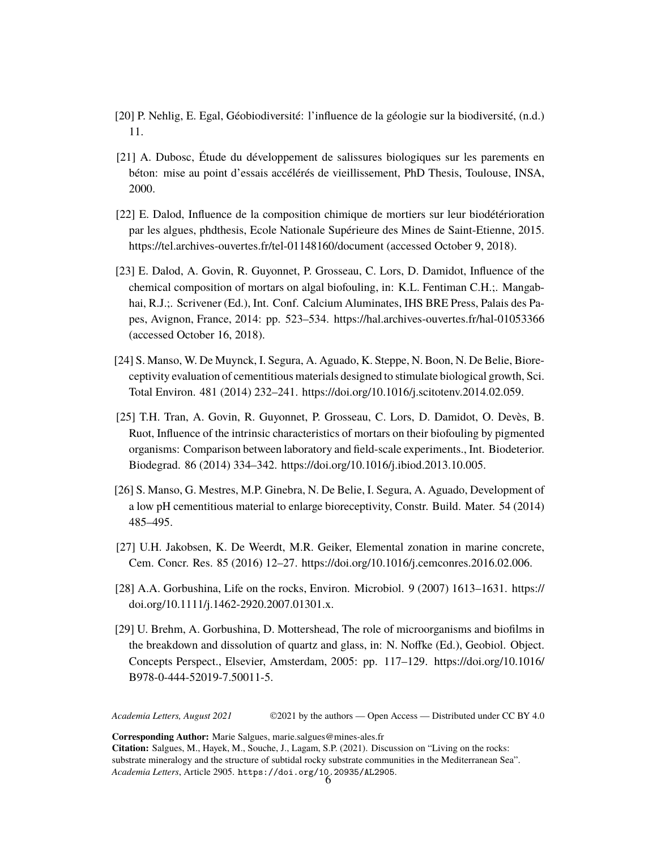- [20] P. Nehlig, E. Egal, Géobiodiversité: l'influence de la géologie sur la biodiversité, (n.d.) 11.
- [21] A. Dubosc, Étude du développement de salissures biologiques sur les parements en béton: mise au point d'essais accélérés de vieillissement, PhD Thesis, Toulouse, INSA, 2000.
- [22] E. Dalod, Influence de la composition chimique de mortiers sur leur biodétérioration par les algues, phdthesis, Ecole Nationale Supérieure des Mines de Saint-Etienne, 2015. <https://tel.archives-ouvertes.fr/tel-01148160/document> (accessed October 9, 2018).
- [23] E. Dalod, A. Govin, R. Guyonnet, P. Grosseau, C. Lors, D. Damidot, Influence of the chemical composition of mortars on algal biofouling, in: K.L. Fentiman C.H.;. Mangabhai, R.J.;. Scrivener (Ed.), Int. Conf. Calcium Aluminates, IHS BRE Press, Palais des Papes, Avignon, France, 2014: pp. 523–534. <https://hal.archives-ouvertes.fr/hal-01053366> (accessed October 16, 2018).
- [24] S. Manso, W. De Muynck, I. Segura, A. Aguado, K. Steppe, N. Boon, N. De Belie, Bioreceptivity evaluation of cementitious materials designed to stimulate biological growth, Sci. Total Environ. 481 (2014) 232–241. <https://doi.org/10.1016/j.scitotenv.2014.02.059.>
- [25] T.H. Tran, A. Govin, R. Guyonnet, P. Grosseau, C. Lors, D. Damidot, O. Devès, B. Ruot, Influence of the intrinsic characteristics of mortars on their biofouling by pigmented organisms: Comparison between laboratory and field-scale experiments., Int. Biodeterior. Biodegrad. 86 (2014) 334–342. <https://doi.org/10.1016/j.ibiod.2013.10.005.>
- [26] S. Manso, G. Mestres, M.P. Ginebra, N. De Belie, I. Segura, A. Aguado, Development of a low pH cementitious material to enlarge bioreceptivity, Constr. Build. Mater. 54 (2014) 485–495.
- [27] U.H. Jakobsen, K. De Weerdt, M.R. Geiker, Elemental zonation in marine concrete, Cem. Concr. Res. 85 (2016) 12–27. <https://doi.org/10.1016/j.cemconres.2016.02.006.>
- [28] A.A. Gorbushina, Life on the rocks, Environ. Microbiol. 9 (2007) 1613–1631. [https://](https://doi.org/10.1111/j.1462-2920.2007.01301.x.) [doi.org/10.1111/j.1462-2920.2007.01301.x.](https://doi.org/10.1111/j.1462-2920.2007.01301.x.)
- [29] U. Brehm, A. Gorbushina, D. Mottershead, The role of microorganisms and biofilms in the breakdown and dissolution of quartz and glass, in: N. Noffke (Ed.), Geobiol. Object. Concepts Perspect., Elsevier, Amsterdam, 2005: pp. 117–129. [https://doi.org/10.1016/](https://doi.org/10.1016/B978-0-444-52019-7.50011-5.) [B978-0-444-52019-7.50011-5.](https://doi.org/10.1016/B978-0-444-52019-7.50011-5.)

*Academia Letters, August 2021* ©2021 by the authors — Open Access — Distributed under CC BY 4.0

**Corresponding Author:** Marie Salgues, marie.salgues@mines-ales.fr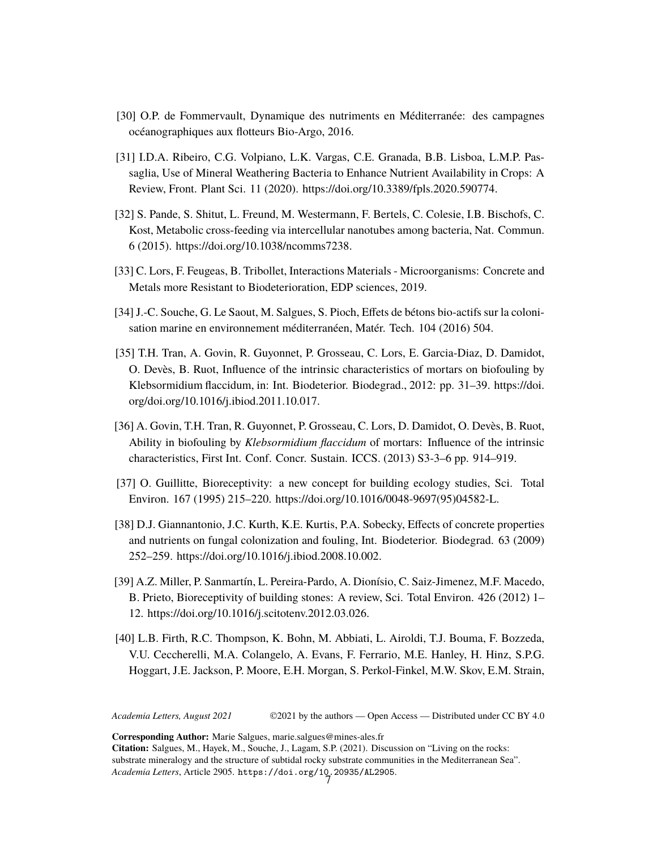- [30] O.P. de Fommervault, Dynamique des nutriments en Méditerranée: des campagnes océanographiques aux flotteurs Bio-Argo, 2016.
- [31] I.D.A. Ribeiro, C.G. Volpiano, L.K. Vargas, C.E. Granada, B.B. Lisboa, L.M.P. Passaglia, Use of Mineral Weathering Bacteria to Enhance Nutrient Availability in Crops: A Review, Front. Plant Sci. 11 (2020). <https://doi.org/10.3389/fpls.2020.590774.>
- [32] S. Pande, S. Shitut, L. Freund, M. Westermann, F. Bertels, C. Colesie, I.B. Bischofs, C. Kost, Metabolic cross-feeding via intercellular nanotubes among bacteria, Nat. Commun. 6 (2015). <https://doi.org/10.1038/ncomms7238.>
- [33] C. Lors, F. Feugeas, B. Tribollet, Interactions Materials Microorganisms: Concrete and Metals more Resistant to Biodeterioration, EDP sciences, 2019.
- [34] J.-C. Souche, G. Le Saout, M. Salgues, S. Pioch, Effets de bétons bio-actifs sur la colonisation marine en environnement méditerranéen, Matér. Tech. 104 (2016) 504.
- [35] T.H. Tran, A. Govin, R. Guyonnet, P. Grosseau, C. Lors, E. Garcia-Diaz, D. Damidot, O. Devès, B. Ruot, Influence of the intrinsic characteristics of mortars on biofouling by Klebsormidium flaccidum, in: Int. Biodeterior. Biodegrad., 2012: pp. 31–39. [https://doi.](https://doi.org/doi.org/10.1016/j.ibiod.2011.10.017.) [org/doi.org/10.1016/j.ibiod.2011.10.017.](https://doi.org/doi.org/10.1016/j.ibiod.2011.10.017.)
- [36] A. Govin, T.H. Tran, R. Guyonnet, P. Grosseau, C. Lors, D. Damidot, O. Devès, B. Ruot, Ability in biofouling by *Klebsormidium flaccidum* of mortars: Influence of the intrinsic characteristics, First Int. Conf. Concr. Sustain. ICCS. (2013) S3-3–6 pp. 914–919.
- [37] O. Guillitte, Bioreceptivity: a new concept for building ecology studies, Sci. Total Environ. 167 (1995) 215–220. [https://doi.org/10.1016/0048-9697\(95\)04582-L.](https://doi.org/10.1016/0048-9697(95)04582-L.)
- [38] D.J. Giannantonio, J.C. Kurth, K.E. Kurtis, P.A. Sobecky, Effects of concrete properties and nutrients on fungal colonization and fouling, Int. Biodeterior. Biodegrad. 63 (2009) 252–259. <https://doi.org/10.1016/j.ibiod.2008.10.002.>
- [39] A.Z. Miller, P. Sanmartín, L. Pereira-Pardo, A. Dionísio, C. Saiz-Jimenez, M.F. Macedo, B. Prieto, Bioreceptivity of building stones: A review, Sci. Total Environ. 426 (2012) 1– 12. <https://doi.org/10.1016/j.scitotenv.2012.03.026.>
- [40] L.B. Firth, R.C. Thompson, K. Bohn, M. Abbiati, L. Airoldi, T.J. Bouma, F. Bozzeda, V.U. Ceccherelli, M.A. Colangelo, A. Evans, F. Ferrario, M.E. Hanley, H. Hinz, S.P.G. Hoggart, J.E. Jackson, P. Moore, E.H. Morgan, S. Perkol-Finkel, M.W. Skov, E.M. Strain,

*Academia Letters, August 2021* ©2021 by the authors — Open Access — Distributed under CC BY 4.0

**Corresponding Author:** Marie Salgues, marie.salgues@mines-ales.fr